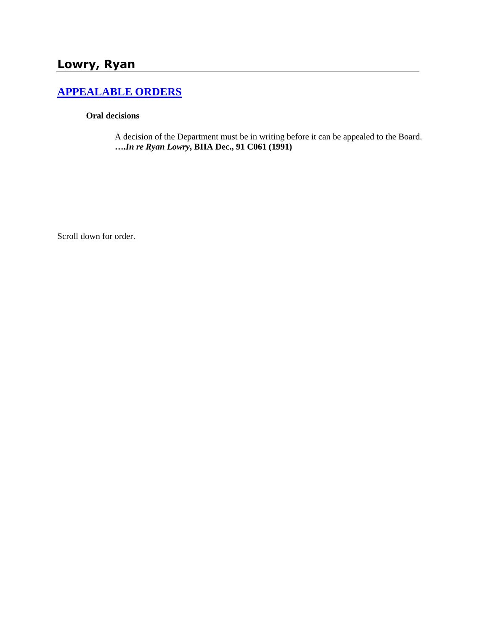# **Lowry, Ryan**

## **[APPEALABLE ORDERS](http://www.biia.wa.gov/SDSubjectIndex.html#APPEALABLE_ORDERS)**

#### **Oral decisions**

A decision of the Department must be in writing before it can be appealed to the Board. **….***In re Ryan Lowry***, BIIA Dec., 91 C061 (1991)** 

Scroll down for order.